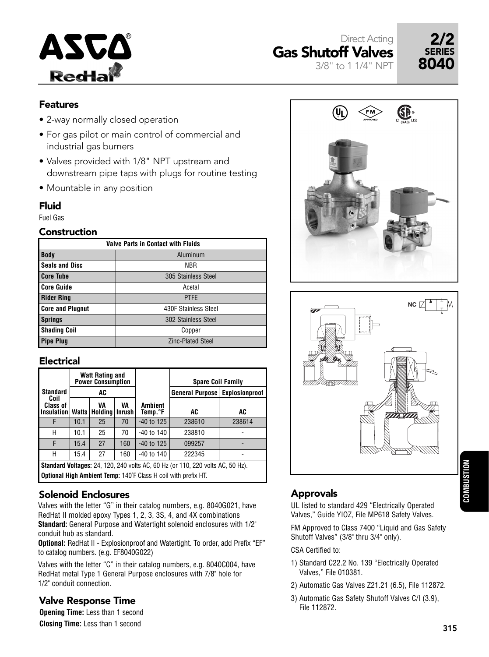





### Features

- 2-way normally closed operation
- For gas pilot or main control of commercial and industrial gas burners
- Valves provided with 1/8" NPT upstream and downstream pipe taps with plugs for routine testing
- Mountable in any position

#### Fluid

Fuel Gas

#### **Construction**

| <b>Valve Parts in Contact with Fluids</b> |                          |  |  |  |  |  |
|-------------------------------------------|--------------------------|--|--|--|--|--|
| <b>Body</b>                               | Aluminum                 |  |  |  |  |  |
| <b>Seals and Disc</b>                     | <b>NBR</b>               |  |  |  |  |  |
| <b>Core Tube</b>                          | 305 Stainless Steel      |  |  |  |  |  |
| <b>Core Guide</b>                         | Acetal                   |  |  |  |  |  |
| <b>Rider Ring</b>                         | <b>PTFE</b>              |  |  |  |  |  |
| <b>Core and Plugnut</b>                   | 430F Stainless Steel     |  |  |  |  |  |
| <b>Springs</b>                            | 302 Stainless Steel      |  |  |  |  |  |
| <b>Shading Coil</b>                       | Copper                   |  |  |  |  |  |
| <b>Pipe Plug</b>                          | <b>Zinc-Plated Steel</b> |  |  |  |  |  |

### Electrical

| <b>Watt Rating and</b><br><b>Power Consumption</b>                                                                                                             |              |                               |     |                           | <b>Spare Coil Family</b> |                       |  |  |
|----------------------------------------------------------------------------------------------------------------------------------------------------------------|--------------|-------------------------------|-----|---------------------------|--------------------------|-----------------------|--|--|
| <b>Standard</b>                                                                                                                                                |              | AC                            |     |                           | <b>General Purpose</b>   | <b>Explosionproof</b> |  |  |
| Coil<br>Class of<br><b>Insulation</b>                                                                                                                          | <b>Watts</b> | VA<br>VA<br>Holding<br>Inrush |     | <b>Ambient</b><br>Temp.°F | AC                       | AC                    |  |  |
| F                                                                                                                                                              | 10.1         | 25                            | 70  | $-40$ to 125              | 238610                   | 238614                |  |  |
| Н                                                                                                                                                              | 10.1         | 25                            | 70  | $-40$ to 140              | 238810                   |                       |  |  |
| F                                                                                                                                                              | 15.4         | 27                            | 160 | $-40$ to 125              | 099257                   |                       |  |  |
| Н                                                                                                                                                              | 15.4         | 27                            | 160 | $-40$ to 140              | 222345                   |                       |  |  |
| <b>Standard Voltages:</b> 24, 120, 240 volts AC, 60 Hz (or 110, 220 volts AC, 50 Hz).<br><b>Optional High Ambient Temp: 140°F Class H coil with prefix HT.</b> |              |                               |     |                           |                          |                       |  |  |

## Solenoid Enclosures

Valves with the letter "G" in their catalog numbers, e.g. 8040G021, have RedHat II molded epoxy Types 1, 2, 3, 3S, 4, and 4X combinations **Standard:** General Purpose and Watertight solenoid enclosures with 1/2" conduit hub as standard.

**Optional:** RedHat II - Explosionproof and Watertight. To order, add Prefix "EF" to catalog numbers. (e.g. EF8040G022)

Valves with the letter "C" in their catalog numbers, e.g. 8040C004, have RedHat metal Type 1 General Purpose enclosures with 7/8" hole for 1/2" conduit connection.

### Valve Response Time

**Opening Time:** Less than 1 second **Closing Time:** Less than 1 second

## Approvals

UL listed to standard 429 "Electrically Operated Valves," Guide YIOZ, File MP618 Safety Valves.

FM Approved to Class 7400 "Liquid and Gas Safety Shutoff Valves" (3/8" thru 3/4" only).

CSA Certified to:

- 1) Standard C22.2 No. 139 "Electrically Operated Valves," File 010381.
- 2) Automatic Gas Valves Z21.21 (6.5), File 112872.
- 3) Automatic Gas Safety Shutoff Valves C/I (3.9), File 112872.



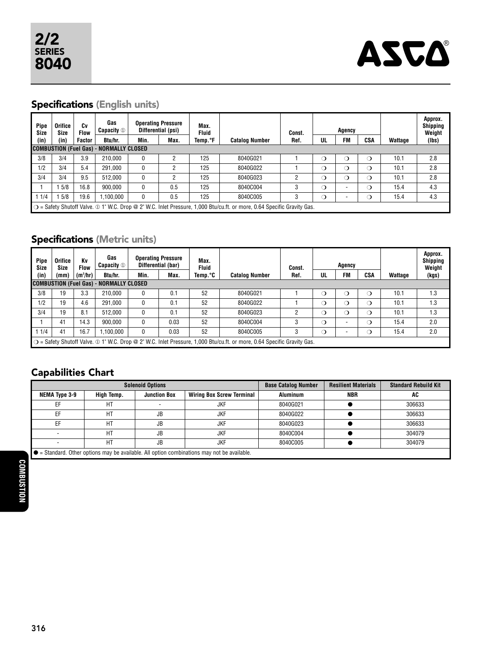

# Specifications (English units)

| Pipe<br><b>Size</b>                                                                                                                     | Orifice<br><b>Size</b> | Cv<br><b>Flow</b> | Gas<br>Capacity $\mathbb O$                    | <b>Operating Pressure</b><br>Differential (psi) |      | Max.<br><b>Fluid</b> |                       | Const. |    | Agency    |          |         | Approx.<br><b>Shipping</b><br>Weight |
|-----------------------------------------------------------------------------------------------------------------------------------------|------------------------|-------------------|------------------------------------------------|-------------------------------------------------|------|----------------------|-----------------------|--------|----|-----------|----------|---------|--------------------------------------|
| (in)                                                                                                                                    | (in)                   | Factor            | Btu/hr.                                        | Min.                                            | Max. | Temp.°F              | <b>Catalog Number</b> | Ref.   | UL | <b>FM</b> | CSA      | Wattage | (lbs)                                |
|                                                                                                                                         |                        |                   | <b>COMBUSTION (Fuel Gas) - NORMALLY CLOSED</b> |                                                 |      |                      |                       |        |    |           |          |         |                                      |
| 3/8                                                                                                                                     | 3/4                    | 3.9               | 210.000                                        | 0                                               |      | 125                  | 8040G021              |        | ◯  | $\circ$   | $\Omega$ | 10.1    | 2.8                                  |
| 1/2                                                                                                                                     | 3/4                    | 5.4               | 291.000                                        | 0                                               | 2    | 125                  | 8040G022              |        | റ  | $\Omega$  | $\Omega$ | 10.1    | 2.8                                  |
| 3/4                                                                                                                                     | 3/4                    | 9.5               | 512.000                                        | 0                                               | C    | 125                  | 8040G023              | 2      | О  | $\circ$   | $\Omega$ | 10.1    | 2.8                                  |
|                                                                                                                                         | 5/8                    | 16.8              | 900.000                                        | 0                                               | 0.5  | 125                  | 8040C004              | 3      | ◯  |           | $\Omega$ | 15.4    | 4.3                                  |
| 1/4                                                                                                                                     | 5/8                    | 19.6              | ,100,000                                       | 0                                               | 0.5  | 125                  | 8040C005              | 3      | ◯  |           | $\circ$  | 15.4    | 4.3                                  |
| $\bigcirc$ = Safety Shutoff Valve. $\oplus$ 1" W.C. Drop @ 2" W.C. Inlet Pressure, 1,000 Btu/cu.ft. or more, 0.64 Specific Gravity Gas. |                        |                   |                                                |                                                 |      |                      |                       |        |    |           |          |         |                                      |

# Specifications (Metric units)

| Pipe<br><b>Size</b> | Orifice<br><b>Size</b>                                                                                                                             | Κv<br><b>Flow</b> | Gas<br><b>Capacity</b> ① |      | <b>Operating Pressure</b><br>Differential (bar) | Max.<br><b>Fluid</b> |                       | Const. |    | Agency |          |         | Approx.<br><b>Shipping</b><br>Weight |
|---------------------|----------------------------------------------------------------------------------------------------------------------------------------------------|-------------------|--------------------------|------|-------------------------------------------------|----------------------|-----------------------|--------|----|--------|----------|---------|--------------------------------------|
| (in)                | (mm)                                                                                                                                               | $(m^3/hr)$        | Btu/hr.                  | Min. | Max.                                            | Temp.°C              | <b>Catalog Number</b> | Ref.   | UL | FM     | CSA      | Wattage | (kgs)                                |
|                     | COMBUSTION (Fuel Gas) - NORMALLY CLOSED                                                                                                            |                   |                          |      |                                                 |                      |                       |        |    |        |          |         |                                      |
| 3/8                 | 19                                                                                                                                                 | 3.3               | 210.000                  |      | 0.1                                             | 52                   | 8040G021              |        | ◯  | ◯      | ◯        | 10.1    | 1.3                                  |
| 1/2                 | 19                                                                                                                                                 | 4.6               | 291.000                  | 0    | 0.1                                             | 52                   | 8040G022              |        | ◯  | ◯      | ◯        | 10.1    | 1.3                                  |
| 3/4                 | 19                                                                                                                                                 | 8.1               | 512.000                  | 0    | 0.1                                             | 52                   | 8040G023              |        | ◯  | ◯      | $\Omega$ | 10.1    | 1.3                                  |
|                     | 41                                                                                                                                                 | 14.3              | 900.000                  | 0    | 0.03                                            | 52                   | 8040C004              |        | റ  | ۰      | ◯        | 15.4    | 2.0                                  |
| 11/4                | 41                                                                                                                                                 | 16.7              | .100.000                 | 0    | 0.03                                            | 52                   | 8040C005              | 3      | O  |        | ◯        | 15.4    | 2.0                                  |
|                     | $\circ$ $\circ$ = Safety Shutoff Valve. $\circledcirc$ 1" W.C. Drop @ 2" W.C. Inlet Pressure, 1,000 Btu/cu.ft. or more, 0.64 Specific Gravity Gas. |                   |                          |      |                                                 |                      |                       |        |    |        |          |         |                                      |

# Capabilities Chart

|                                                                                                     |            | <b>Solenoid Options</b> | <b>Base Catalog Number</b>       | <b>Resilient Materials</b> | <b>Standard Rebuild Kit</b> |        |  |  |  |
|-----------------------------------------------------------------------------------------------------|------------|-------------------------|----------------------------------|----------------------------|-----------------------------|--------|--|--|--|
| NEMA Type 3-9                                                                                       | High Temp. | <b>Junction Box</b>     | <b>Wiring Box Screw Terminal</b> | <b>Aluminum</b>            | NBR                         | AC     |  |  |  |
| EF                                                                                                  | HT         |                         | <b>JKF</b>                       | 8040G021                   |                             | 306633 |  |  |  |
| EF                                                                                                  | HT         | JB                      | <b>JKF</b>                       | 8040G022                   |                             | 306633 |  |  |  |
| ЕF                                                                                                  | HT         | JB                      | <b>JKF</b>                       | 8040G023                   |                             | 306633 |  |  |  |
|                                                                                                     | HT         | JB                      | <b>JKF</b>                       | 8040C004                   |                             | 304079 |  |  |  |
|                                                                                                     | HT         | JB                      | <b>JKF</b>                       | 8040C005                   |                             | 304079 |  |  |  |
| $\bullet$ = Standard. Other options may be available. All option combinations may not be available. |            |                         |                                  |                            |                             |        |  |  |  |

● = Standard. Other options may be available. All option combinations may not be available.